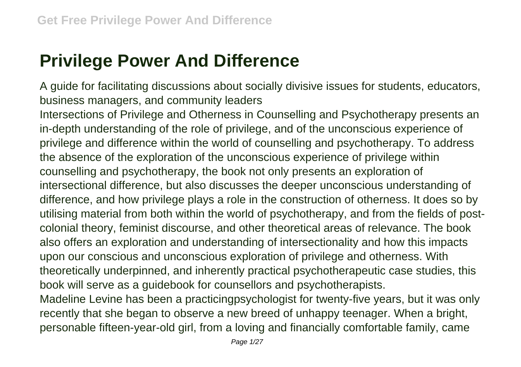## **Privilege Power And Difference**

A guide for facilitating discussions about socially divisive issues for students, educators, business managers, and community leaders

Intersections of Privilege and Otherness in Counselling and Psychotherapy presents an in-depth understanding of the role of privilege, and of the unconscious experience of privilege and difference within the world of counselling and psychotherapy. To address the absence of the exploration of the unconscious experience of privilege within counselling and psychotherapy, the book not only presents an exploration of intersectional difference, but also discusses the deeper unconscious understanding of difference, and how privilege plays a role in the construction of otherness. It does so by utilising material from both within the world of psychotherapy, and from the fields of postcolonial theory, feminist discourse, and other theoretical areas of relevance. The book also offers an exploration and understanding of intersectionality and how this impacts upon our conscious and unconscious exploration of privilege and otherness. With theoretically underpinned, and inherently practical psychotherapeutic case studies, this book will serve as a guidebook for counsellors and psychotherapists.

Madeline Levine has been a practicingpsychologist for twenty-five years, but it was only recently that she began to observe a new breed of unhappy teenager. When a bright, personable fifteen-year-old girl, from a loving and financially comfortable family, came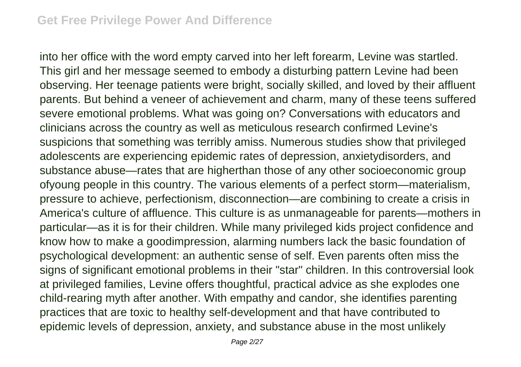into her office with the word empty carved into her left forearm, Levine was startled. This girl and her message seemed to embody a disturbing pattern Levine had been observing. Her teenage patients were bright, socially skilled, and loved by their affluent parents. But behind a veneer of achievement and charm, many of these teens suffered severe emotional problems. What was going on? Conversations with educators and clinicians across the country as well as meticulous research confirmed Levine's suspicions that something was terribly amiss. Numerous studies show that privileged adolescents are experiencing epidemic rates of depression, anxietydisorders, and substance abuse—rates that are higherthan those of any other socioeconomic group ofyoung people in this country. The various elements of a perfect storm—materialism, pressure to achieve, perfectionism, disconnection—are combining to create a crisis in America's culture of affluence. This culture is as unmanageable for parents—mothers in particular—as it is for their children. While many privileged kids project confidence and know how to make a goodimpression, alarming numbers lack the basic foundation of psychological development: an authentic sense of self. Even parents often miss the signs of significant emotional problems in their "star" children. In this controversial look at privileged families, Levine offers thoughtful, practical advice as she explodes one child-rearing myth after another. With empathy and candor, she identifies parenting practices that are toxic to healthy self-development and that have contributed to epidemic levels of depression, anxiety, and substance abuse in the most unlikely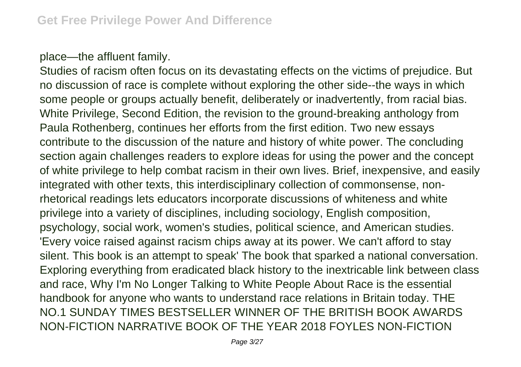## place—the affluent family.

Studies of racism often focus on its devastating effects on the victims of prejudice. But no discussion of race is complete without exploring the other side--the ways in which some people or groups actually benefit, deliberately or inadvertently, from racial bias. White Privilege, Second Edition, the revision to the ground-breaking anthology from Paula Rothenberg, continues her efforts from the first edition. Two new essays contribute to the discussion of the nature and history of white power. The concluding section again challenges readers to explore ideas for using the power and the concept of white privilege to help combat racism in their own lives. Brief, inexpensive, and easily integrated with other texts, this interdisciplinary collection of commonsense, nonrhetorical readings lets educators incorporate discussions of whiteness and white privilege into a variety of disciplines, including sociology, English composition, psychology, social work, women's studies, political science, and American studies. 'Every voice raised against racism chips away at its power. We can't afford to stay silent. This book is an attempt to speak' The book that sparked a national conversation. Exploring everything from eradicated black history to the inextricable link between class and race, Why I'm No Longer Talking to White People About Race is the essential handbook for anyone who wants to understand race relations in Britain today. THE NO.1 SUNDAY TIMES BESTSELLER WINNER OF THE BRITISH BOOK AWARDS NON-FICTION NARRATIVE BOOK OF THE YEAR 2018 FOYLES NON-FICTION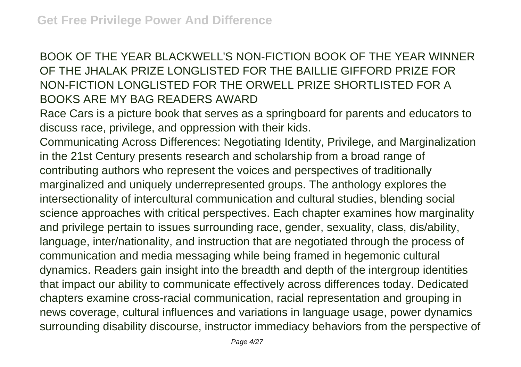## BOOK OF THE YEAR BLACKWELL'S NON-FICTION BOOK OF THE YEAR WINNER OF THE JHALAK PRIZE LONGLISTED FOR THE BAILLIE GIFFORD PRIZE FOR NON-FICTION LONGLISTED FOR THE ORWELL PRIZE SHORTLISTED FOR A BOOKS ARE MY BAG READERS AWARD

Race Cars is a picture book that serves as a springboard for parents and educators to discuss race, privilege, and oppression with their kids.

Communicating Across Differences: Negotiating Identity, Privilege, and Marginalization in the 21st Century presents research and scholarship from a broad range of contributing authors who represent the voices and perspectives of traditionally marginalized and uniquely underrepresented groups. The anthology explores the intersectionality of intercultural communication and cultural studies, blending social science approaches with critical perspectives. Each chapter examines how marginality and privilege pertain to issues surrounding race, gender, sexuality, class, dis/ability, language, inter/nationality, and instruction that are negotiated through the process of communication and media messaging while being framed in hegemonic cultural dynamics. Readers gain insight into the breadth and depth of the intergroup identities that impact our ability to communicate effectively across differences today. Dedicated chapters examine cross-racial communication, racial representation and grouping in news coverage, cultural influences and variations in language usage, power dynamics surrounding disability discourse, instructor immediacy behaviors from the perspective of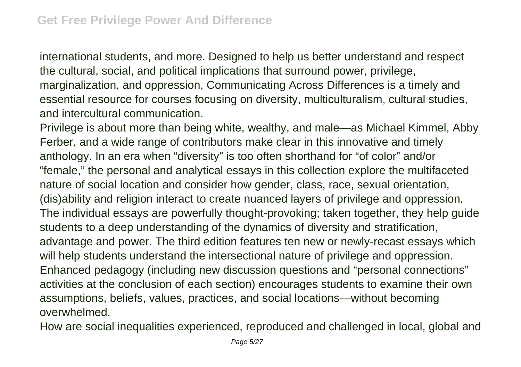international students, and more. Designed to help us better understand and respect the cultural, social, and political implications that surround power, privilege, marginalization, and oppression, Communicating Across Differences is a timely and essential resource for courses focusing on diversity, multiculturalism, cultural studies, and intercultural communication.

Privilege is about more than being white, wealthy, and male—as Michael Kimmel, Abby Ferber, and a wide range of contributors make clear in this innovative and timely anthology. In an era when "diversity" is too often shorthand for "of color" and/or "female," the personal and analytical essays in this collection explore the multifaceted nature of social location and consider how gender, class, race, sexual orientation, (dis)ability and religion interact to create nuanced layers of privilege and oppression. The individual essays are powerfully thought-provoking; taken together, they help guide students to a deep understanding of the dynamics of diversity and stratification, advantage and power. The third edition features ten new or newly-recast essays which will help students understand the intersectional nature of privilege and oppression. Enhanced pedagogy (including new discussion questions and "personal connections" activities at the conclusion of each section) encourages students to examine their own assumptions, beliefs, values, practices, and social locations—without becoming overwhelmed.

How are social inequalities experienced, reproduced and challenged in local, global and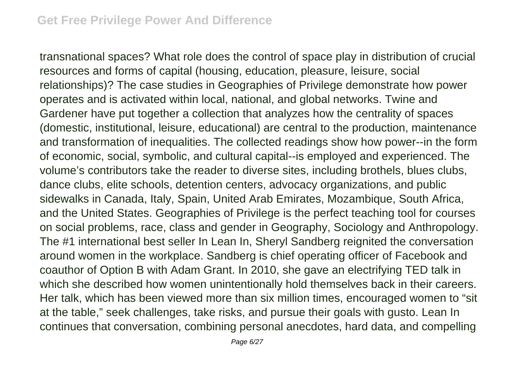transnational spaces? What role does the control of space play in distribution of crucial resources and forms of capital (housing, education, pleasure, leisure, social relationships)? The case studies in Geographies of Privilege demonstrate how power operates and is activated within local, national, and global networks. Twine and Gardener have put together a collection that analyzes how the centrality of spaces (domestic, institutional, leisure, educational) are central to the production, maintenance and transformation of inequalities. The collected readings show how power--in the form of economic, social, symbolic, and cultural capital--is employed and experienced. The volume's contributors take the reader to diverse sites, including brothels, blues clubs, dance clubs, elite schools, detention centers, advocacy organizations, and public sidewalks in Canada, Italy, Spain, United Arab Emirates, Mozambique, South Africa, and the United States. Geographies of Privilege is the perfect teaching tool for courses on social problems, race, class and gender in Geography, Sociology and Anthropology. The #1 international best seller In Lean In, Sheryl Sandberg reignited the conversation around women in the workplace. Sandberg is chief operating officer of Facebook and coauthor of Option B with Adam Grant. In 2010, she gave an electrifying TED talk in which she described how women unintentionally hold themselves back in their careers. Her talk, which has been viewed more than six million times, encouraged women to "sit at the table," seek challenges, take risks, and pursue their goals with gusto. Lean In continues that conversation, combining personal anecdotes, hard data, and compelling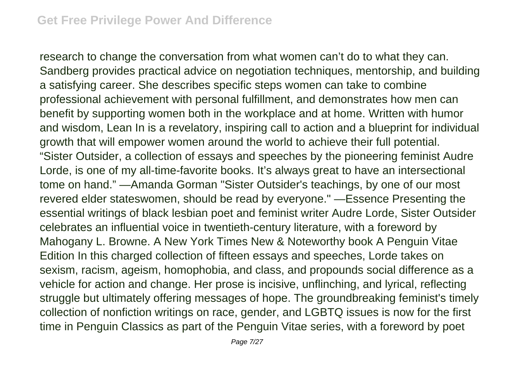research to change the conversation from what women can't do to what they can. Sandberg provides practical advice on negotiation techniques, mentorship, and building a satisfying career. She describes specific steps women can take to combine professional achievement with personal fulfillment, and demonstrates how men can benefit by supporting women both in the workplace and at home. Written with humor and wisdom, Lean In is a revelatory, inspiring call to action and a blueprint for individual growth that will empower women around the world to achieve their full potential. "Sister Outsider, a collection of essays and speeches by the pioneering feminist Audre Lorde, is one of my all-time-favorite books. It's always great to have an intersectional tome on hand." —Amanda Gorman "Sister Outsider's teachings, by one of our most revered elder stateswomen, should be read by everyone." —Essence Presenting the essential writings of black lesbian poet and feminist writer Audre Lorde, Sister Outsider celebrates an influential voice in twentieth-century literature, with a foreword by Mahogany L. Browne. A New York Times New & Noteworthy book A Penguin Vitae Edition In this charged collection of fifteen essays and speeches, Lorde takes on sexism, racism, ageism, homophobia, and class, and propounds social difference as a vehicle for action and change. Her prose is incisive, unflinching, and lyrical, reflecting struggle but ultimately offering messages of hope. The groundbreaking feminist's timely collection of nonfiction writings on race, gender, and LGBTQ issues is now for the first time in Penguin Classics as part of the Penguin Vitae series, with a foreword by poet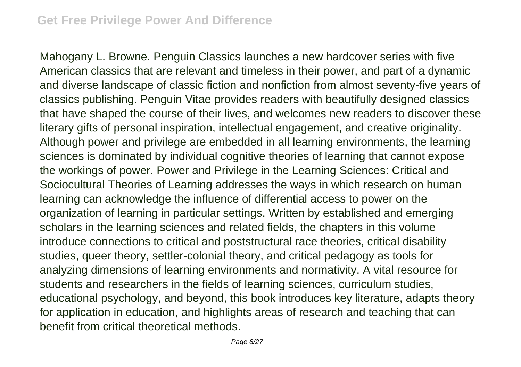Mahogany L. Browne. Penguin Classics launches a new hardcover series with five American classics that are relevant and timeless in their power, and part of a dynamic and diverse landscape of classic fiction and nonfiction from almost seventy-five years of classics publishing. Penguin Vitae provides readers with beautifully designed classics that have shaped the course of their lives, and welcomes new readers to discover these literary gifts of personal inspiration, intellectual engagement, and creative originality. Although power and privilege are embedded in all learning environments, the learning sciences is dominated by individual cognitive theories of learning that cannot expose the workings of power. Power and Privilege in the Learning Sciences: Critical and Sociocultural Theories of Learning addresses the ways in which research on human learning can acknowledge the influence of differential access to power on the organization of learning in particular settings. Written by established and emerging scholars in the learning sciences and related fields, the chapters in this volume introduce connections to critical and poststructural race theories, critical disability studies, queer theory, settler-colonial theory, and critical pedagogy as tools for analyzing dimensions of learning environments and normativity. A vital resource for students and researchers in the fields of learning sciences, curriculum studies, educational psychology, and beyond, this book introduces key literature, adapts theory for application in education, and highlights areas of research and teaching that can benefit from critical theoretical methods.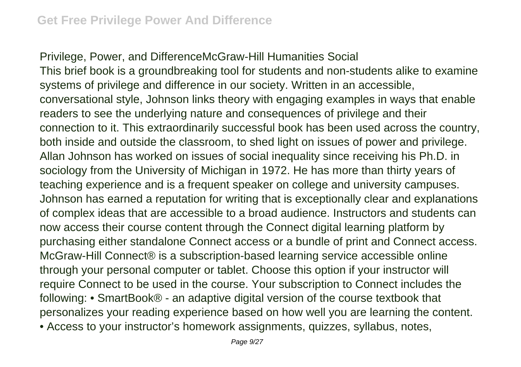Privilege, Power, and DifferenceMcGraw-Hill Humanities Social This brief book is a groundbreaking tool for students and non-students alike to examine systems of privilege and difference in our society. Written in an accessible, conversational style, Johnson links theory with engaging examples in ways that enable readers to see the underlying nature and consequences of privilege and their connection to it. This extraordinarily successful book has been used across the country, both inside and outside the classroom, to shed light on issues of power and privilege. Allan Johnson has worked on issues of social inequality since receiving his Ph.D. in sociology from the University of Michigan in 1972. He has more than thirty years of teaching experience and is a frequent speaker on college and university campuses. Johnson has earned a reputation for writing that is exceptionally clear and explanations of complex ideas that are accessible to a broad audience. Instructors and students can now access their course content through the Connect digital learning platform by purchasing either standalone Connect access or a bundle of print and Connect access. McGraw-Hill Connect® is a subscription-based learning service accessible online through your personal computer or tablet. Choose this option if your instructor will require Connect to be used in the course. Your subscription to Connect includes the following: • SmartBook® - an adaptive digital version of the course textbook that personalizes your reading experience based on how well you are learning the content. • Access to your instructor's homework assignments, quizzes, syllabus, notes,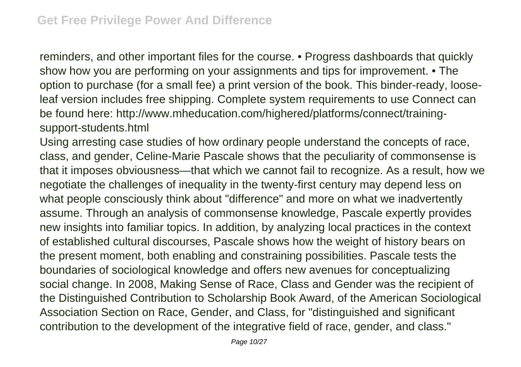reminders, and other important files for the course. • Progress dashboards that quickly show how you are performing on your assignments and tips for improvement. • The option to purchase (for a small fee) a print version of the book. This binder-ready, looseleaf version includes free shipping. Complete system requirements to use Connect can be found here: http://www.mheducation.com/highered/platforms/connect/trainingsupport-students.html

Using arresting case studies of how ordinary people understand the concepts of race, class, and gender, Celine-Marie Pascale shows that the peculiarity of commonsense is that it imposes obviousness—that which we cannot fail to recognize. As a result, how we negotiate the challenges of inequality in the twenty-first century may depend less on what people consciously think about "difference" and more on what we inadvertently assume. Through an analysis of commonsense knowledge, Pascale expertly provides new insights into familiar topics. In addition, by analyzing local practices in the context of established cultural discourses, Pascale shows how the weight of history bears on the present moment, both enabling and constraining possibilities. Pascale tests the boundaries of sociological knowledge and offers new avenues for conceptualizing social change. In 2008, Making Sense of Race, Class and Gender was the recipient of the Distinguished Contribution to Scholarship Book Award, of the American Sociological Association Section on Race, Gender, and Class, for "distinguished and significant contribution to the development of the integrative field of race, gender, and class."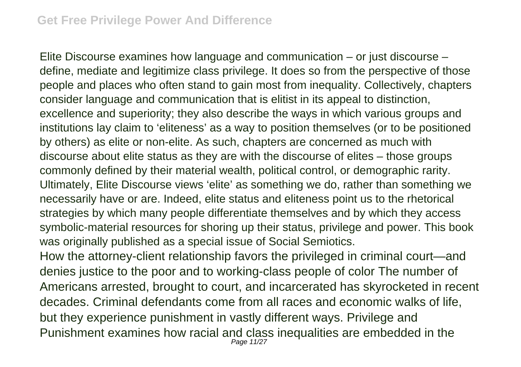Elite Discourse examines how language and communication – or just discourse – define, mediate and legitimize class privilege. It does so from the perspective of those people and places who often stand to gain most from inequality. Collectively, chapters consider language and communication that is elitist in its appeal to distinction, excellence and superiority; they also describe the ways in which various groups and institutions lay claim to 'eliteness' as a way to position themselves (or to be positioned by others) as elite or non-elite. As such, chapters are concerned as much with discourse about elite status as they are with the discourse of elites – those groups commonly defined by their material wealth, political control, or demographic rarity. Ultimately, Elite Discourse views 'elite' as something we do, rather than something we necessarily have or are. Indeed, elite status and eliteness point us to the rhetorical strategies by which many people differentiate themselves and by which they access symbolic-material resources for shoring up their status, privilege and power. This book was originally published as a special issue of Social Semiotics. How the attorney-client relationship favors the privileged in criminal court—and denies justice to the poor and to working-class people of color The number of Americans arrested, brought to court, and incarcerated has skyrocketed in recent

decades. Criminal defendants come from all races and economic walks of life, but they experience punishment in vastly different ways. Privilege and Punishment examines how racial and class inequalities are embedded in the Page 11/27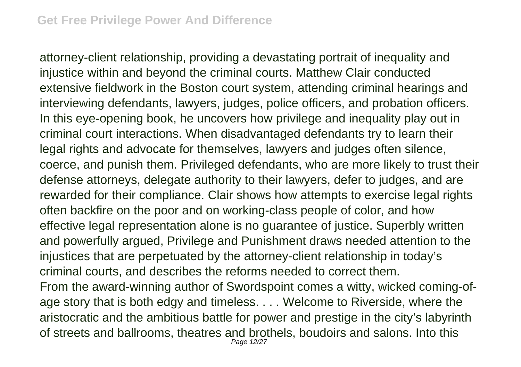attorney-client relationship, providing a devastating portrait of inequality and injustice within and beyond the criminal courts. Matthew Clair conducted extensive fieldwork in the Boston court system, attending criminal hearings and interviewing defendants, lawyers, judges, police officers, and probation officers. In this eye-opening book, he uncovers how privilege and inequality play out in criminal court interactions. When disadvantaged defendants try to learn their legal rights and advocate for themselves, lawyers and judges often silence, coerce, and punish them. Privileged defendants, who are more likely to trust their defense attorneys, delegate authority to their lawyers, defer to judges, and are rewarded for their compliance. Clair shows how attempts to exercise legal rights often backfire on the poor and on working-class people of color, and how effective legal representation alone is no guarantee of justice. Superbly written and powerfully argued, Privilege and Punishment draws needed attention to the injustices that are perpetuated by the attorney-client relationship in today's criminal courts, and describes the reforms needed to correct them. From the award-winning author of Swordspoint comes a witty, wicked coming-ofage story that is both edgy and timeless. . . . Welcome to Riverside, where the aristocratic and the ambitious battle for power and prestige in the city's labyrinth of streets and ballrooms, theatres and brothels, boudoirs and salons. Into this Page 12/27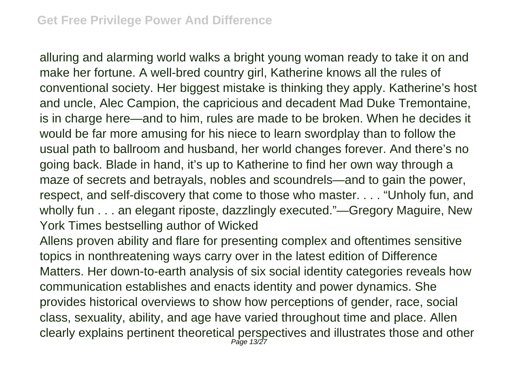alluring and alarming world walks a bright young woman ready to take it on and make her fortune. A well-bred country girl, Katherine knows all the rules of conventional society. Her biggest mistake is thinking they apply. Katherine's host and uncle, Alec Campion, the capricious and decadent Mad Duke Tremontaine, is in charge here—and to him, rules are made to be broken. When he decides it would be far more amusing for his niece to learn swordplay than to follow the usual path to ballroom and husband, her world changes forever. And there's no going back. Blade in hand, it's up to Katherine to find her own way through a maze of secrets and betrayals, nobles and scoundrels—and to gain the power, respect, and self-discovery that come to those who master. . . . "Unholy fun, and wholly fun . . . an elegant riposte, dazzlingly executed."—Gregory Maguire, New York Times bestselling author of Wicked

Allens proven ability and flare for presenting complex and oftentimes sensitive topics in nonthreatening ways carry over in the latest edition of Difference Matters. Her down-to-earth analysis of six social identity categories reveals how communication establishes and enacts identity and power dynamics. She provides historical overviews to show how perceptions of gender, race, social class, sexuality, ability, and age have varied throughout time and place. Allen clearly explains pertinent theoretical perspectives and illustrates those and other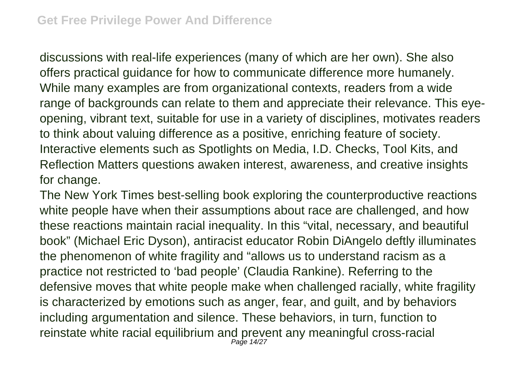discussions with real-life experiences (many of which are her own). She also offers practical guidance for how to communicate difference more humanely. While many examples are from organizational contexts, readers from a wide range of backgrounds can relate to them and appreciate their relevance. This eyeopening, vibrant text, suitable for use in a variety of disciplines, motivates readers to think about valuing difference as a positive, enriching feature of society. Interactive elements such as Spotlights on Media, I.D. Checks, Tool Kits, and Reflection Matters questions awaken interest, awareness, and creative insights for change.

The New York Times best-selling book exploring the counterproductive reactions white people have when their assumptions about race are challenged, and how these reactions maintain racial inequality. In this "vital, necessary, and beautiful book" (Michael Eric Dyson), antiracist educator Robin DiAngelo deftly illuminates the phenomenon of white fragility and "allows us to understand racism as a practice not restricted to 'bad people' (Claudia Rankine). Referring to the defensive moves that white people make when challenged racially, white fragility is characterized by emotions such as anger, fear, and guilt, and by behaviors including argumentation and silence. These behaviors, in turn, function to reinstate white racial equilibrium and prevent any meaningful cross-racial Page 14/27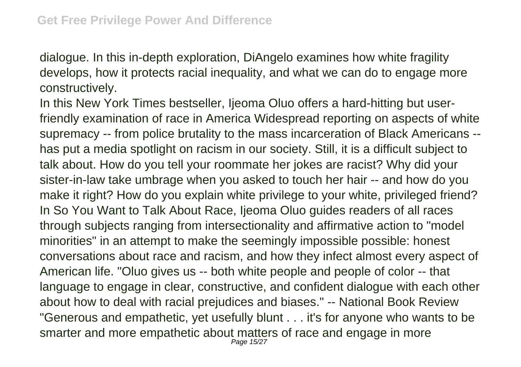dialogue. In this in-depth exploration, DiAngelo examines how white fragility develops, how it protects racial inequality, and what we can do to engage more constructively.

In this New York Times bestseller, Ijeoma Oluo offers a hard-hitting but userfriendly examination of race in America Widespread reporting on aspects of white supremacy -- from police brutality to the mass incarceration of Black Americans - has put a media spotlight on racism in our society. Still, it is a difficult subject to talk about. How do you tell your roommate her jokes are racist? Why did your sister-in-law take umbrage when you asked to touch her hair -- and how do you make it right? How do you explain white privilege to your white, privileged friend? In So You Want to Talk About Race, Ijeoma Oluo guides readers of all races through subjects ranging from intersectionality and affirmative action to "model minorities" in an attempt to make the seemingly impossible possible: honest conversations about race and racism, and how they infect almost every aspect of American life. "Oluo gives us -- both white people and people of color -- that language to engage in clear, constructive, and confident dialogue with each other about how to deal with racial prejudices and biases." -- National Book Review "Generous and empathetic, yet usefully blunt . . . it's for anyone who wants to be smarter and more empathetic about matters of race and engage in more Page 15/27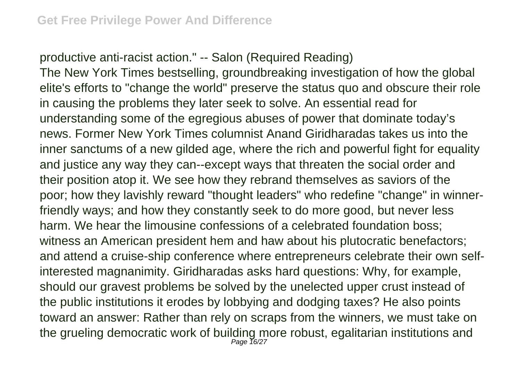productive anti-racist action." -- Salon (Required Reading)

The New York Times bestselling, groundbreaking investigation of how the global elite's efforts to "change the world" preserve the status quo and obscure their role in causing the problems they later seek to solve. An essential read for understanding some of the egregious abuses of power that dominate today's news. Former New York Times columnist Anand Giridharadas takes us into the inner sanctums of a new gilded age, where the rich and powerful fight for equality and justice any way they can--except ways that threaten the social order and their position atop it. We see how they rebrand themselves as saviors of the poor; how they lavishly reward "thought leaders" who redefine "change" in winnerfriendly ways; and how they constantly seek to do more good, but never less harm. We hear the limousine confessions of a celebrated foundation boss; witness an American president hem and haw about his plutocratic benefactors; and attend a cruise-ship conference where entrepreneurs celebrate their own selfinterested magnanimity. Giridharadas asks hard questions: Why, for example, should our gravest problems be solved by the unelected upper crust instead of the public institutions it erodes by lobbying and dodging taxes? He also points toward an answer: Rather than rely on scraps from the winners, we must take on the grueling democratic work of building more robust, egalitarian institutions and Page 16/27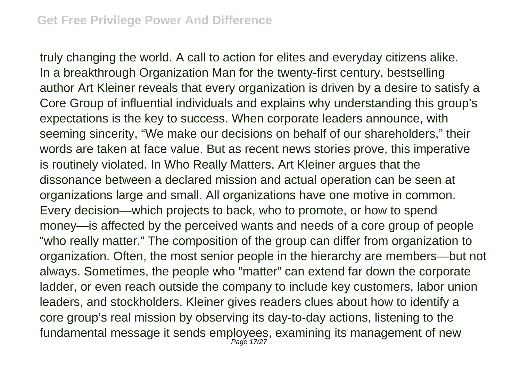truly changing the world. A call to action for elites and everyday citizens alike. In a breakthrough Organization Man for the twenty-first century, bestselling author Art Kleiner reveals that every organization is driven by a desire to satisfy a Core Group of influential individuals and explains why understanding this group's expectations is the key to success. When corporate leaders announce, with seeming sincerity, "We make our decisions on behalf of our shareholders," their words are taken at face value. But as recent news stories prove, this imperative is routinely violated. In Who Really Matters, Art Kleiner argues that the dissonance between a declared mission and actual operation can be seen at organizations large and small. All organizations have one motive in common. Every decision—which projects to back, who to promote, or how to spend money—is affected by the perceived wants and needs of a core group of people "who really matter." The composition of the group can differ from organization to organization. Often, the most senior people in the hierarchy are members—but not always. Sometimes, the people who "matter" can extend far down the corporate ladder, or even reach outside the company to include key customers, labor union leaders, and stockholders. Kleiner gives readers clues about how to identify a core group's real mission by observing its day-to-day actions, listening to the fundamental message it sends employees, examining its management of new Page 17/27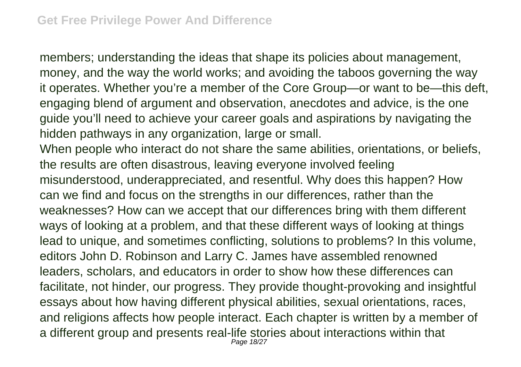members; understanding the ideas that shape its policies about management, money, and the way the world works; and avoiding the taboos governing the way it operates. Whether you're a member of the Core Group—or want to be—this deft, engaging blend of argument and observation, anecdotes and advice, is the one guide you'll need to achieve your career goals and aspirations by navigating the hidden pathways in any organization, large or small.

When people who interact do not share the same abilities, orientations, or beliefs, the results are often disastrous, leaving everyone involved feeling misunderstood, underappreciated, and resentful. Why does this happen? How can we find and focus on the strengths in our differences, rather than the weaknesses? How can we accept that our differences bring with them different ways of looking at a problem, and that these different ways of looking at things lead to unique, and sometimes conflicting, solutions to problems? In this volume, editors John D. Robinson and Larry C. James have assembled renowned leaders, scholars, and educators in order to show how these differences can facilitate, not hinder, our progress. They provide thought-provoking and insightful essays about how having different physical abilities, sexual orientations, races, and religions affects how people interact. Each chapter is written by a member of a different group and presents real-life stories about interactions within that Page 18/27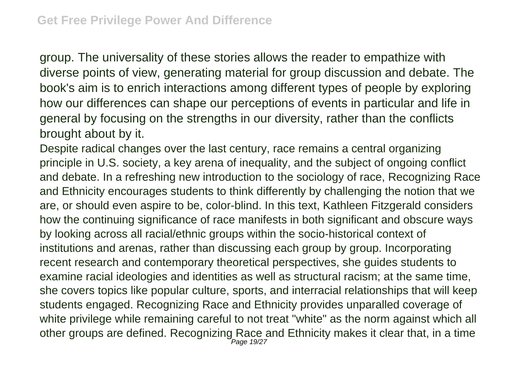group. The universality of these stories allows the reader to empathize with diverse points of view, generating material for group discussion and debate. The book's aim is to enrich interactions among different types of people by exploring how our differences can shape our perceptions of events in particular and life in general by focusing on the strengths in our diversity, rather than the conflicts brought about by it.

Despite radical changes over the last century, race remains a central organizing principle in U.S. society, a key arena of inequality, and the subject of ongoing conflict and debate. In a refreshing new introduction to the sociology of race, Recognizing Race and Ethnicity encourages students to think differently by challenging the notion that we are, or should even aspire to be, color-blind. In this text, Kathleen Fitzgerald considers how the continuing significance of race manifests in both significant and obscure ways by looking across all racial/ethnic groups within the socio-historical context of institutions and arenas, rather than discussing each group by group. Incorporating recent research and contemporary theoretical perspectives, she guides students to examine racial ideologies and identities as well as structural racism; at the same time, she covers topics like popular culture, sports, and interracial relationships that will keep students engaged. Recognizing Race and Ethnicity provides unparalled coverage of white privilege while remaining careful to not treat "white" as the norm against which all other groups are defined. Recognizing Race and Ethnicity makes it clear that, in a time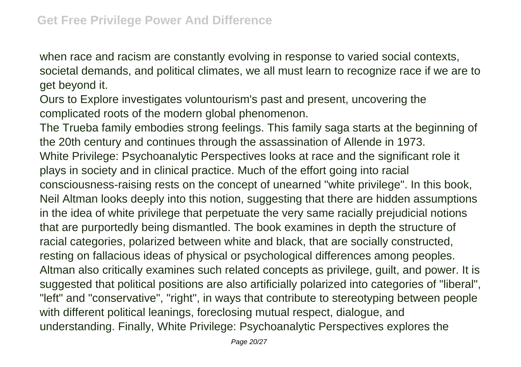when race and racism are constantly evolving in response to varied social contexts, societal demands, and political climates, we all must learn to recognize race if we are to get beyond it.

Ours to Explore investigates voluntourism's past and present, uncovering the complicated roots of the modern global phenomenon.

The Trueba family embodies strong feelings. This family saga starts at the beginning of the 20th century and continues through the assassination of Allende in 1973. White Privilege: Psychoanalytic Perspectives looks at race and the significant role it plays in society and in clinical practice. Much of the effort going into racial consciousness-raising rests on the concept of unearned "white privilege". In this book, Neil Altman looks deeply into this notion, suggesting that there are hidden assumptions in the idea of white privilege that perpetuate the very same racially prejudicial notions that are purportedly being dismantled. The book examines in depth the structure of racial categories, polarized between white and black, that are socially constructed, resting on fallacious ideas of physical or psychological differences among peoples. Altman also critically examines such related concepts as privilege, guilt, and power. It is suggested that political positions are also artificially polarized into categories of "liberal", "left" and "conservative", "right", in ways that contribute to stereotyping between people with different political leanings, foreclosing mutual respect, dialogue, and understanding. Finally, White Privilege: Psychoanalytic Perspectives explores the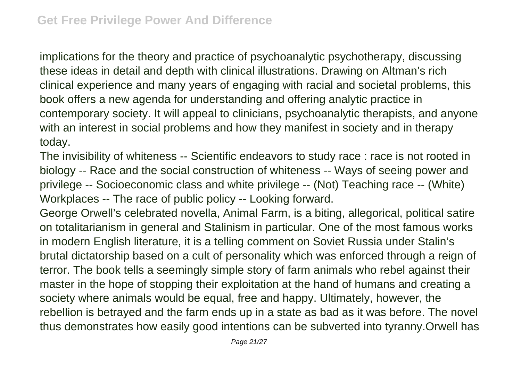implications for the theory and practice of psychoanalytic psychotherapy, discussing these ideas in detail and depth with clinical illustrations. Drawing on Altman's rich clinical experience and many years of engaging with racial and societal problems, this book offers a new agenda for understanding and offering analytic practice in contemporary society. It will appeal to clinicians, psychoanalytic therapists, and anyone with an interest in social problems and how they manifest in society and in therapy today.

The invisibility of whiteness -- Scientific endeavors to study race : race is not rooted in biology -- Race and the social construction of whiteness -- Ways of seeing power and privilege -- Socioeconomic class and white privilege -- (Not) Teaching race -- (White) Workplaces -- The race of public policy -- Looking forward.

George Orwell's celebrated novella, Animal Farm, is a biting, allegorical, political satire on totalitarianism in general and Stalinism in particular. One of the most famous works in modern English literature, it is a telling comment on Soviet Russia under Stalin's brutal dictatorship based on a cult of personality which was enforced through a reign of terror. The book tells a seemingly simple story of farm animals who rebel against their master in the hope of stopping their exploitation at the hand of humans and creating a society where animals would be equal, free and happy. Ultimately, however, the rebellion is betrayed and the farm ends up in a state as bad as it was before. The novel thus demonstrates how easily good intentions can be subverted into tyranny.Orwell has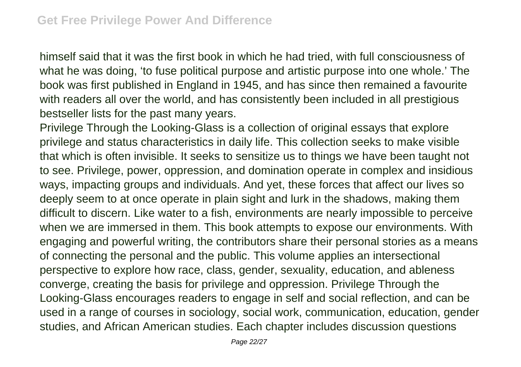himself said that it was the first book in which he had tried, with full consciousness of what he was doing, 'to fuse political purpose and artistic purpose into one whole.' The book was first published in England in 1945, and has since then remained a favourite with readers all over the world, and has consistently been included in all prestigious bestseller lists for the past many years.

Privilege Through the Looking-Glass is a collection of original essays that explore privilege and status characteristics in daily life. This collection seeks to make visible that which is often invisible. It seeks to sensitize us to things we have been taught not to see. Privilege, power, oppression, and domination operate in complex and insidious ways, impacting groups and individuals. And yet, these forces that affect our lives so deeply seem to at once operate in plain sight and lurk in the shadows, making them difficult to discern. Like water to a fish, environments are nearly impossible to perceive when we are immersed in them. This book attempts to expose our environments. With engaging and powerful writing, the contributors share their personal stories as a means of connecting the personal and the public. This volume applies an intersectional perspective to explore how race, class, gender, sexuality, education, and ableness converge, creating the basis for privilege and oppression. Privilege Through the Looking-Glass encourages readers to engage in self and social reflection, and can be used in a range of courses in sociology, social work, communication, education, gender studies, and African American studies. Each chapter includes discussion questions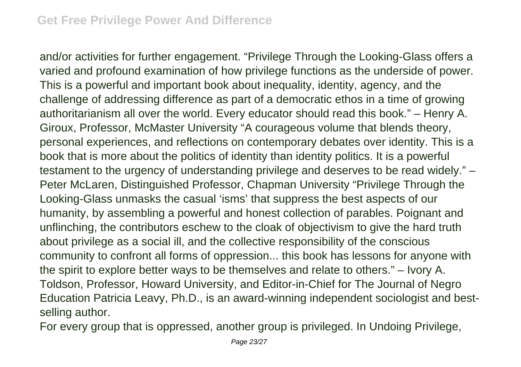and/or activities for further engagement. "Privilege Through the Looking-Glass offers a varied and profound examination of how privilege functions as the underside of power. This is a powerful and important book about inequality, identity, agency, and the challenge of addressing difference as part of a democratic ethos in a time of growing authoritarianism all over the world. Every educator should read this book." – Henry A. Giroux, Professor, McMaster University "A courageous volume that blends theory, personal experiences, and reflections on contemporary debates over identity. This is a book that is more about the politics of identity than identity politics. It is a powerful testament to the urgency of understanding privilege and deserves to be read widely." – Peter McLaren, Distinguished Professor, Chapman University "Privilege Through the Looking-Glass unmasks the casual 'isms' that suppress the best aspects of our humanity, by assembling a powerful and honest collection of parables. Poignant and unflinching, the contributors eschew to the cloak of objectivism to give the hard truth about privilege as a social ill, and the collective responsibility of the conscious community to confront all forms of oppression... this book has lessons for anyone with the spirit to explore better ways to be themselves and relate to others." – Ivory A. Toldson, Professor, Howard University, and Editor-in-Chief for The Journal of Negro Education Patricia Leavy, Ph.D., is an award-winning independent sociologist and bestselling author.

For every group that is oppressed, another group is privileged. In Undoing Privilege,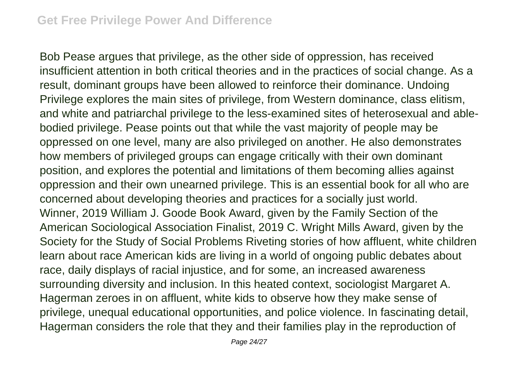Bob Pease argues that privilege, as the other side of oppression, has received insufficient attention in both critical theories and in the practices of social change. As a result, dominant groups have been allowed to reinforce their dominance. Undoing Privilege explores the main sites of privilege, from Western dominance, class elitism, and white and patriarchal privilege to the less-examined sites of heterosexual and ablebodied privilege. Pease points out that while the vast majority of people may be oppressed on one level, many are also privileged on another. He also demonstrates how members of privileged groups can engage critically with their own dominant position, and explores the potential and limitations of them becoming allies against oppression and their own unearned privilege. This is an essential book for all who are concerned about developing theories and practices for a socially just world. Winner, 2019 William J. Goode Book Award, given by the Family Section of the American Sociological Association Finalist, 2019 C. Wright Mills Award, given by the Society for the Study of Social Problems Riveting stories of how affluent, white children learn about race American kids are living in a world of ongoing public debates about race, daily displays of racial injustice, and for some, an increased awareness surrounding diversity and inclusion. In this heated context, sociologist Margaret A. Hagerman zeroes in on affluent, white kids to observe how they make sense of privilege, unequal educational opportunities, and police violence. In fascinating detail, Hagerman considers the role that they and their families play in the reproduction of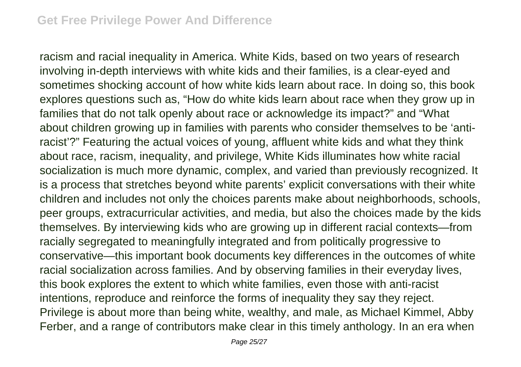racism and racial inequality in America. White Kids, based on two years of research involving in-depth interviews with white kids and their families, is a clear-eyed and sometimes shocking account of how white kids learn about race. In doing so, this book explores questions such as, "How do white kids learn about race when they grow up in families that do not talk openly about race or acknowledge its impact?" and "What about children growing up in families with parents who consider themselves to be 'antiracist'?" Featuring the actual voices of young, affluent white kids and what they think about race, racism, inequality, and privilege, White Kids illuminates how white racial socialization is much more dynamic, complex, and varied than previously recognized. It is a process that stretches beyond white parents' explicit conversations with their white children and includes not only the choices parents make about neighborhoods, schools, peer groups, extracurricular activities, and media, but also the choices made by the kids themselves. By interviewing kids who are growing up in different racial contexts—from racially segregated to meaningfully integrated and from politically progressive to conservative—this important book documents key differences in the outcomes of white racial socialization across families. And by observing families in their everyday lives, this book explores the extent to which white families, even those with anti-racist intentions, reproduce and reinforce the forms of inequality they say they reject. Privilege is about more than being white, wealthy, and male, as Michael Kimmel, Abby Ferber, and a range of contributors make clear in this timely anthology. In an era when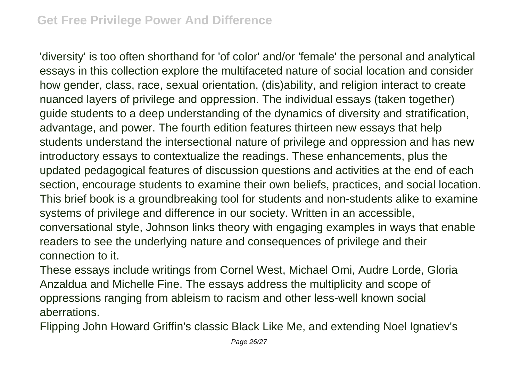'diversity' is too often shorthand for 'of color' and/or 'female' the personal and analytical essays in this collection explore the multifaceted nature of social location and consider how gender, class, race, sexual orientation, (dis)ability, and religion interact to create nuanced layers of privilege and oppression. The individual essays (taken together) guide students to a deep understanding of the dynamics of diversity and stratification, advantage, and power. The fourth edition features thirteen new essays that help students understand the intersectional nature of privilege and oppression and has new introductory essays to contextualize the readings. These enhancements, plus the updated pedagogical features of discussion questions and activities at the end of each section, encourage students to examine their own beliefs, practices, and social location. This brief book is a groundbreaking tool for students and non-students alike to examine systems of privilege and difference in our society. Written in an accessible, conversational style, Johnson links theory with engaging examples in ways that enable readers to see the underlying nature and consequences of privilege and their connection to it.

These essays include writings from Cornel West, Michael Omi, Audre Lorde, Gloria Anzaldua and Michelle Fine. The essays address the multiplicity and scope of oppressions ranging from ableism to racism and other less-well known social aberrations.

Flipping John Howard Griffin's classic Black Like Me, and extending Noel Ignatiev's